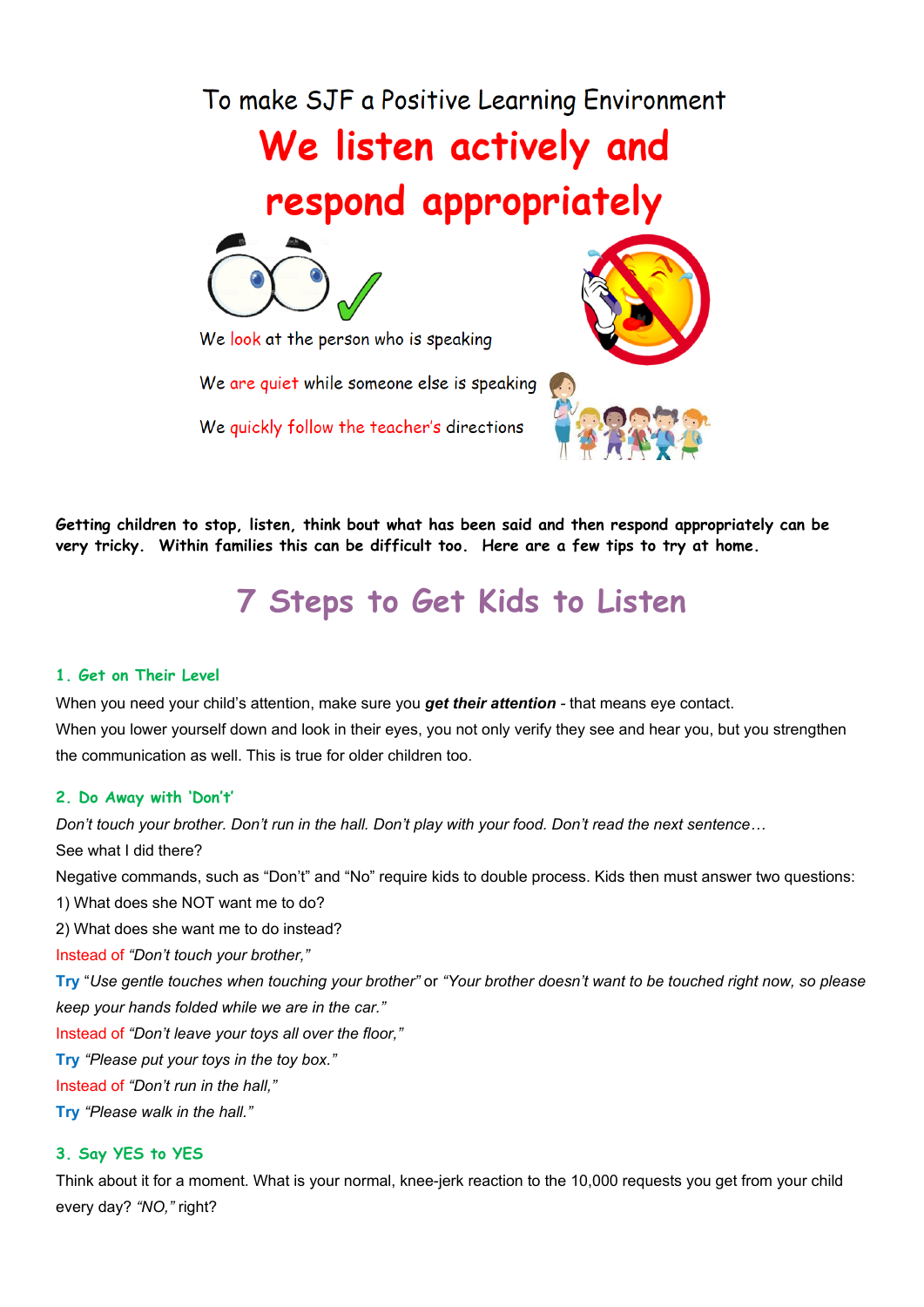To make SJF a Positive Learning Environment

# We listen actively and respond appropriately



We look at the person who is speaking

We are quiet while someone else is speaking

We quickly follow the teacher's directions



**Getting children to stop, listen, think bout what has been said and then respond appropriately can be very tricky. Within families this can be difficult too. Here are a few tips to try at home.**

## **7 Steps to Get Kids to Listen**

### **1. Get on Their Level**

When you need your child's attention, make sure you *get their attention -* that means eye contact. When you lower yourself down and look in their eyes, you not only verify they see and hear you, but you strengthen the communication as well. This is true for older children too.

#### **2. Do Away with 'Don't'**

Don't touch your brother. Don't run in the hall. Don't play with your food. Don't read the next sentence... See what I did there? Negative commands, such as "Don't" and "No" require kids to double process. Kids then must answer two questions: 1) What does she NOT want me to do? 2) What does she want me to do instead? Instead of *"Don't touch your brother,"* Try "Use gentle touches when touching your brother" or "Your brother doesn't want to be touched right now, so please *keep your hands folded while we are in the car."* Instead of *"Don't leave your toys all over the floor,"* **Try** *"Please put your toys in the toy box."* Instead of *"Don't run in the hall,"* **Try** *"Please walk in the hall."* **3. Say YES to YES**

Think about it for a moment. What is your normal, knee-jerk reaction to the 10,000 requests you get from your child every day? *"NO,"* right?